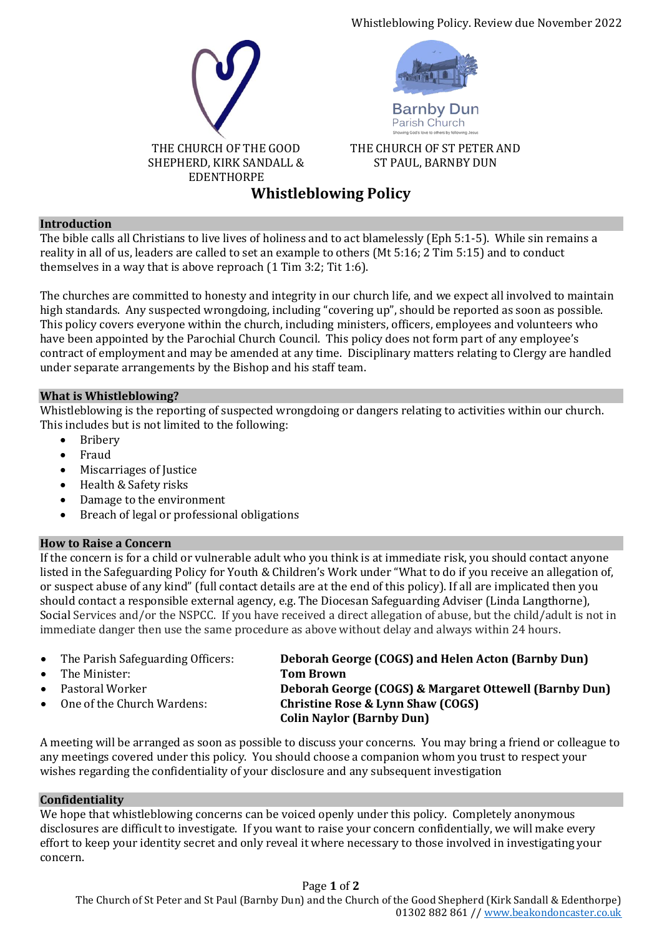Whistleblowing Policy. Review due November 2022





**Barnby Dun** Parish Church

THE CHURCH OF ST PETER AND ST PAUL, BARNBY DUN

# **Whistleblowing Policy**

## **Introduction**

The bible calls all Christians to live lives of holiness and to act blamelessly (Eph 5:1-5). While sin remains a reality in all of us, leaders are called to set an example to others (Mt 5:16; 2 Tim 5:15) and to conduct themselves in a way that is above reproach (1 Tim 3:2; Tit 1:6).

The churches are committed to honesty and integrity in our church life, and we expect all involved to maintain high standards. Any suspected wrongdoing, including "covering up", should be reported as soon as possible. This policy covers everyone within the church, including ministers, officers, employees and volunteers who have been appointed by the Parochial Church Council. This policy does not form part of any employee's contract of employment and may be amended at any time. Disciplinary matters relating to Clergy are handled under separate arrangements by the Bishop and his staff team.

## **What is Whistleblowing?**

Whistleblowing is the reporting of suspected wrongdoing or dangers relating to activities within our church. This includes but is not limited to the following:

- Bribery
- Fraud
- Miscarriages of Justice
- Health & Safety risks
- Damage to the environment
- Breach of legal or professional obligations

## **How to Raise a Concern**

If the concern is for a child or vulnerable adult who you think is at immediate risk, you should contact anyone listed in the Safeguarding Policy for Youth & Children's Work under "What to do if you receive an allegation of, or suspect abuse of any kind" (full contact details are at the end of this policy). If all are implicated then you should contact a responsible external agency, e.g. The Diocesan Safeguarding Adviser (Linda Langthorne), Social Services and/or the NSPCC. If you have received a direct allegation of abuse, but the child/adult is not in immediate danger then use the same procedure as above without delay and always within 24 hours.

- 
- The Minister: **Tom Brown**
- 
- 

• The Parish Safeguarding Officers: **Deborah George (COGS) and Helen Acton (Barnby Dun)** • Pastoral Worker **Deborah George (COGS) & Margaret Ottewell (Barnby Dun)** • One of the Church Wardens: **Christine Rose & Lynn Shaw (COGS) Colin Naylor (Barnby Dun)**

A meeting will be arranged as soon as possible to discuss your concerns. You may bring a friend or colleague to any meetings covered under this policy. You should choose a companion whom you trust to respect your wishes regarding the confidentiality of your disclosure and any subsequent investigation

#### **Confidentiality**

We hope that whistleblowing concerns can be voiced openly under this policy. Completely anonymous disclosures are difficult to investigate. If you want to raise your concern confidentially, we will make every effort to keep your identity secret and only reveal it where necessary to those involved in investigating your concern.